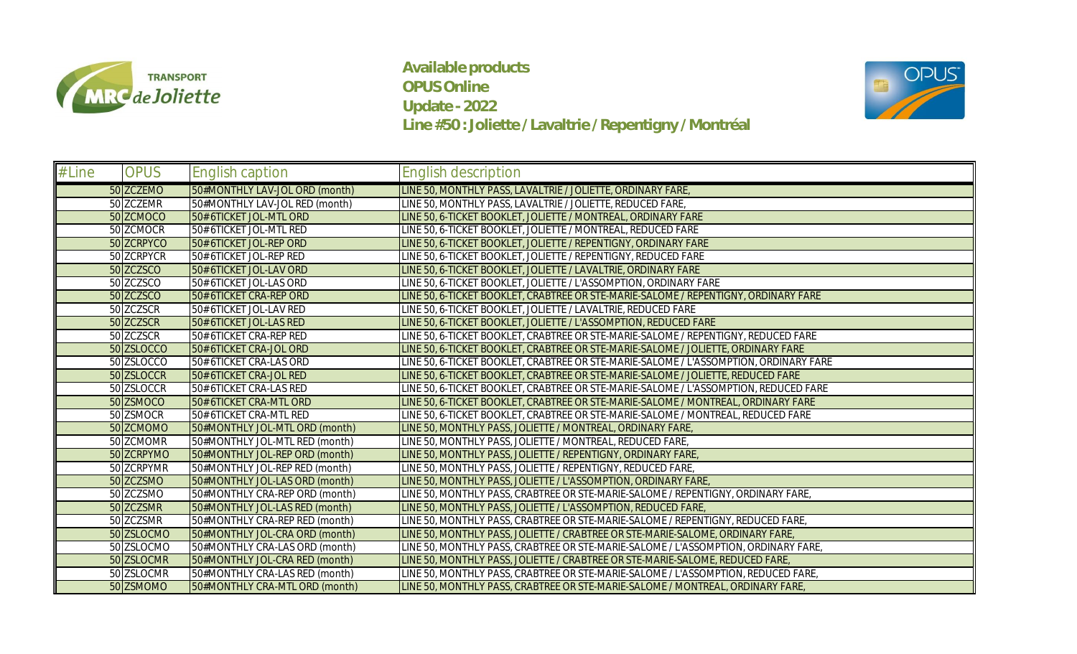

**Available products OPUS Online Update - 2022 Line #50 : Joliette / Lavaltrie / Repentigny / Montréal**



| # Line | <b>OPUS</b> | <b>English caption</b>         | English description                                                                   |
|--------|-------------|--------------------------------|---------------------------------------------------------------------------------------|
|        | 50 ZCZEMO   | 50#MONTHLY LAV-JOL ORD (month) | LINE 50, MONTHLY PASS, LAVALTRIE / JOLIETTE, ORDINARY FARE                            |
|        | 50 ZCZEMR   | 50#MONTHLY LAV-JOL RED (month) | LINE 50, MONTHLY PASS, LAVALTRIE / JOLIETTE, REDUCED FARE,                            |
|        | 50 ZCMOCO   | 50# 6TICKET JOL-MTL ORD        | LINE 50, 6-TICKET BOOKLET, JOLIETTE / MONTREAL, ORDINARY FARE                         |
|        | 50 ZCMOCR   | 50# 6TICKET JOL-MTL RED        | LINE 50, 6-TICKET BOOKLET, JOLIETTE / MONTREAL, REDUCED FARE                          |
|        | 50 ZCRPYCO  | 50# 6TICKET JOL-REP ORD        | LINE 50, 6-TICKET BOOKLET, JOLIETTE / REPENTIGNY, ORDINARY FARE                       |
|        | 50 ZCRPYCR  | 50# 6TICKET JOL-REP RED        | LINE 50, 6-TICKET BOOKLET, JOLIETTE / REPENTIGNY, REDUCED FARE                        |
|        | 50 ZCZSCO   | 50# 6TICKET JOL-LAV ORD        | LINE 50, 6-TICKET BOOKLET, JOLIETTE / LAVALTRIE, ORDINARY FARE                        |
|        | 50 ZCZSCO   | 50# 6TICKET JOL-LAS ORD        | LINE 50, 6-TICKET BOOKLET, JOLIETTE / L'ASSOMPTION, ORDINARY FARE                     |
|        | 50 ZCZSCO   | 50# 6TICKET CRA-REP ORD        | LINE 50, 6-TICKET BOOKLET, CRABTREE OR STE-MARIE-SALOME / REPENTIGNY, ORDINARY FARE   |
|        | 50 ZCZSCR   | 50# 6TICKET JOL-LAV RED        | LINE 50, 6-TICKET BOOKLET, JOLIETTE / LAVALTRIE, REDUCED FARE                         |
|        | 50 ZCZSCR   | 50# 6TICKET JOL-LAS RED        | LINE 50, 6-TICKET BOOKLET, JOLIETTE / L'ASSOMPTION, REDUCED FARE                      |
|        | 50 ZCZSCR   | 50# 6TICKET CRA-REP RED        | LINE 50, 6-TICKET BOOKLET, CRABTREE OR STE-MARIE-SALOME / REPENTIGNY, REDUCED FARE    |
|        | 50 ZSLOCCO  | 50# 6TICKET CRA-JOL ORD        | LINE 50, 6-TICKET BOOKLET, CRABTREE OR STE-MARIE-SALOME / JOLIETTE, ORDINARY FARE     |
|        | 50 ZSLOCCO  | 50# 6TICKET CRA-LAS ORD        | LINE 50, 6-TICKET BOOKLET, CRABTREE OR STE-MARIE-SALOME / L'ASSOMPTION, ORDINARY FARE |
|        | 50 ZSLOCCR  | 50# 6TICKET CRA-JOL RED        | LINE 50, 6-TICKET BOOKLET, CRABTREE OR STE-MARIE-SALOME / JOLIETTE, REDUCED FARE      |
|        | 50 ZSLOCCR  | 50# 6TICKET CRA-LAS RED        | LINE 50, 6-TICKET BOOKLET, CRABTREE OR STE-MARIE-SALOME / L'ASSOMPTION, REDUCED FARE  |
|        | 50 ZSMOCO   | 50# 6TICKET CRA-MTL ORD        | LINE 50, 6-TICKET BOOKLET, CRABTREE OR STE-MARIE-SALOME / MONTREAL, ORDINARY FARE     |
|        | 50 ZSMOCR   | 50# 6TICKET CRA-MTL RED        | LINE 50, 6-TICKET BOOKLET, CRABTREE OR STE-MARIE-SALOME / MONTREAL, REDUCED FARE      |
|        | 50 ZCMOMO   | 50#MONTHLY JOL-MTL ORD (month) | LINE 50, MONTHLY PASS, JOLIETTE / MONTREAL, ORDINARY FARE,                            |
|        | 50 ZCMOMR   | 50#MONTHLY JOL-MTL RED (month) | LINE 50, MONTHLY PASS, JOLIETTE / MONTREAL, REDUCED FARE,                             |
|        | 50 ZCRPYMO  | 50#MONTHLY JOL-REP ORD (month) | LINE 50, MONTHLY PASS, JOLIETTE / REPENTIGNY, ORDINARY FARE                           |
|        | 50 ZCRPYMR  | 50#MONTHLY JOL-REP RED (month) | LINE 50, MONTHLY PASS, JOLIETTE / REPENTIGNY, REDUCED FARE,                           |
|        | 50 ZCZSMO   | 50#MONTHLY JOL-LAS ORD (month) | LINE 50, MONTHLY PASS, JOLIETTE / L'ASSOMPTION, ORDINARY FARE,                        |
|        | 50 ZCZSMO   | 50#MONTHLY CRA-REP ORD (month) | LINE 50, MONTHLY PASS, CRABTREE OR STE-MARIE-SALOME / REPENTIGNY, ORDINARY FARE,      |
|        | 50 ZCZSMR   | 50#MONTHLY JOL-LAS RED (month) | LINE 50, MONTHLY PASS, JOLIETTE / L'ASSOMPTION, REDUCED FARE                          |
|        | 50 ZCZSMR   | 50#MONTHLY CRA-REP RED (month) | LINE 50, MONTHLY PASS, CRABTREE OR STE-MARIE-SALOME / REPENTIGNY, REDUCED FARE,       |
|        | 50 ZSLOCMO  | 50#MONTHLY JOL-CRA ORD (month) | LINE 50, MONTHLY PASS, JOLIETTE / CRABTREE OR STE-MARIE-SALOME, ORDINARY FARE,        |
|        | 50 ZSLOCMO  | 50#MONTHLY CRA-LAS ORD (month) | LINE 50, MONTHLY PASS, CRABTREE OR STE-MARIE-SALOME / L'ASSOMPTION, ORDINARY FARE     |
|        | 50 ZSLOCMR  | 50#MONTHLY JOL-CRA RED (month) | LINE 50, MONTHLY PASS, JOLIETTE / CRABTREE OR STE-MARIE-SALOME, REDUCED FARE,         |
|        | 50 ZSLOCMR  | 50#MONTHLY CRA-LAS RED (month) | LINE 50, MONTHLY PASS, CRABTREE OR STE-MARIE-SALOME / L'ASSOMPTION, REDUCED FARE,     |
|        | 50 ZSMOMO   | 50#MONTHLY CRA-MTL ORD (month) | LINE 50, MONTHLY PASS, CRABTREE OR STE-MARIE-SALOME / MONTREAL, ORDINARY FARE,        |